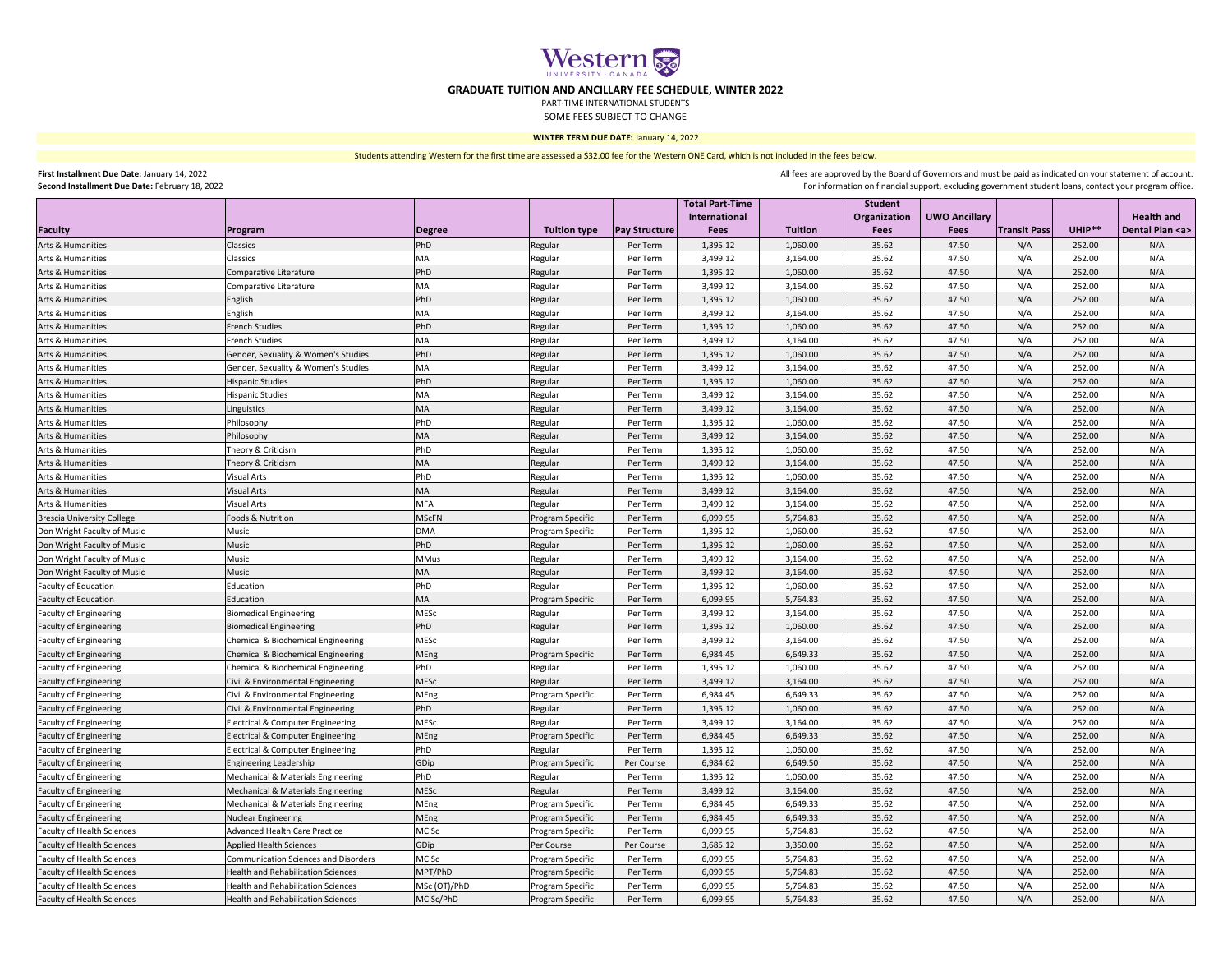| Second installment Due Date. February 18, 2022<br>- FOL INTOTITIBLION ON INTERNATION CHILD SUPPORT, EXCIDENTLY SUPPORTING SUBSETIMENTS, CONTECT YOUR PROGRAM ONCE |                                               |               |                         |                      |                                         |          |                                |                      |                     |        |                     |
|-------------------------------------------------------------------------------------------------------------------------------------------------------------------|-----------------------------------------------|---------------|-------------------------|----------------------|-----------------------------------------|----------|--------------------------------|----------------------|---------------------|--------|---------------------|
|                                                                                                                                                                   |                                               |               |                         |                      | <b>Total Part-Time</b><br>International |          | <b>Student</b><br>Organization | <b>UWO Ancillary</b> |                     |        | <b>Health and</b>   |
| Faculty                                                                                                                                                           | Program                                       | <b>Degree</b> | <b>Tuition type</b>     | <b>Pay Structure</b> | <b>Fees</b>                             | Tuition  | <b>Fees</b>                    | <b>Fees</b>          | <b>Transit Pass</b> | UHIP** | Dental Plan <a></a> |
| Arts & Humanities                                                                                                                                                 | Classics                                      | PhD           | Regular                 | Per Term             | 1,395.12                                | 1,060.00 | 35.62                          | 47.50                | N/A                 | 252.00 | N/A                 |
| Arts & Humanities                                                                                                                                                 | Classics                                      | MA            | Regular                 | Per Term             | 3,499.12                                | 3,164.00 | 35.62                          | 47.50                | N/A                 | 252.00 | N/A                 |
| Arts & Humanities                                                                                                                                                 | Comparative Literature                        | PhD           | Regular                 | Per Term             | 1,395.12                                | 1,060.00 | 35.62                          | 47.50                | N/A                 | 252.00 | N/A                 |
| Arts & Humanities                                                                                                                                                 | Comparative Literature                        | MA            | Regular                 | Per Term             | 3,499.12                                | 3,164.00 | 35.62                          | 47.50                | N/A                 | 252.00 | N/A                 |
| Arts & Humanities                                                                                                                                                 | English                                       | PhD           | Regular                 | Per Term             | 1,395.12                                | 1,060.00 | 35.62                          | 47.50                | N/A                 | 252.00 | N/A                 |
| Arts & Humanities                                                                                                                                                 | English                                       | <b>MA</b>     | Regular                 | Per Term             | 3,499.12                                | 3,164.00 | 35.62                          | 47.50                | N/A                 | 252.00 | N/A                 |
| Arts & Humanities                                                                                                                                                 | <b>French Studies</b>                         | PhD           | Regular                 | Per Term             | 1,395.12                                | 1,060.00 | 35.62                          | 47.50                | N/A                 | 252.00 | N/A                 |
| Arts & Humanities                                                                                                                                                 | <b>French Studies</b>                         | <b>MA</b>     | Regular                 | Per Term             | 3,499.12                                | 3,164.00 | 35.62                          | 47.50                | N/A                 | 252.00 | N/A                 |
| Arts & Humanities                                                                                                                                                 | Gender, Sexuality & Women's Studies           | PhD           | Regular                 | Per Term             | 1,395.12                                | 1,060.00 | 35.62                          | 47.50                | N/A                 | 252.00 | N/A                 |
| Arts & Humanities                                                                                                                                                 | Gender, Sexuality & Women's Studies           | <b>MA</b>     | Regular                 | Per Term             | 3,499.12                                | 3,164.00 | 35.62                          | 47.50                | N/A                 | 252.00 | N/A                 |
| <b>Arts &amp; Humanities</b>                                                                                                                                      | <b>Hispanic Studies</b>                       | PhD           | Regular                 | Per Term             | 1,395.12                                | 1,060.00 | 35.62                          | 47.50                | N/A                 | 252.00 | N/A                 |
| Arts & Humanities                                                                                                                                                 | <b>Hispanic Studies</b>                       | MA            | Regular                 | Per Term             | 3,499.12                                | 3,164.00 | 35.62                          | 47.50                | N/A                 | 252.00 | N/A                 |
| Arts & Humanities                                                                                                                                                 | Linguistics                                   | MA            | Regular                 | Per Term             | 3,499.12                                | 3,164.00 | 35.62                          | 47.50                | N/A                 | 252.00 | N/A                 |
| Arts & Humanities                                                                                                                                                 | <b>Philosophy</b>                             | PhD           | Regular                 | Per Term             | 1,395.12                                | 1,060.00 | 35.62                          | 47.50                | N/A                 | 252.00 | N/A                 |
| <b>Arts &amp; Humanities</b>                                                                                                                                      | Philosophy                                    | <b>MA</b>     | Regular                 | Per Term             | 3,499.12                                | 3,164.00 | 35.62                          | 47.50                | N/A                 | 252.00 | N/A                 |
| Arts & Humanities                                                                                                                                                 | Theory & Criticism                            | PhD           | Regular                 | Per Term             | 1,395.12                                | 1,060.00 | 35.62                          | 47.50                | N/A                 | 252.00 | N/A                 |
| Arts & Humanities                                                                                                                                                 | Theory & Criticism                            | <b>MA</b>     | Regular                 | Per Term             | 3,499.12                                | 3,164.00 | 35.62                          | 47.50                | N/A                 | 252.00 | N/A                 |
| Arts & Humanities                                                                                                                                                 | <b>Visual Arts</b>                            | PhD           | Regular                 | Per Term             | 1,395.12                                | 1,060.00 | 35.62                          | 47.50                | N/A                 | 252.00 | N/A                 |
| Arts & Humanities                                                                                                                                                 | <b>Visual Arts</b>                            | <b>MA</b>     | Regular                 | Per Term             | 3,499.12                                | 3,164.00 | 35.62                          | 47.50                | N/A                 | 252.00 | N/A                 |
| Arts & Humanities                                                                                                                                                 | <b>Visual Arts</b>                            | <b>MFA</b>    | Regular                 | Per Term             | 3,499.12                                | 3,164.00 | 35.62                          | 47.50                | N/A                 | 252.00 | N/A                 |
| <b>Brescia University College</b>                                                                                                                                 | <b>Foods &amp; Nutrition</b>                  | <b>MSCFN</b>  | <b>Program Specific</b> | Per Term             | 6,099.95                                | 5,764.83 | 35.62                          | 47.50                | N/A                 | 252.00 | N/A                 |
| Don Wright Faculty of Music                                                                                                                                       | <b>Music</b>                                  | <b>DMA</b>    | Program Specific        | Per Term             | 1,395.12                                | 1,060.00 | 35.62                          | 47.50                | N/A                 | 252.00 | N/A                 |
| Don Wright Faculty of Music                                                                                                                                       | <b>Music</b>                                  | PhD           | Regular                 | Per Term             | 1,395.12                                | 1,060.00 | 35.62                          | 47.50                | N/A                 | 252.00 | N/A                 |
| Don Wright Faculty of Music                                                                                                                                       | <b>Music</b>                                  | <b>MMus</b>   | Regular                 | Per Term             | 3,499.12                                | 3,164.00 | 35.62                          | 47.50                | N/A                 | 252.00 | N/A                 |
| Don Wright Faculty of Music                                                                                                                                       | Music                                         | <b>MA</b>     | Regular                 | Per Term             | 3,499.12                                | 3,164.00 | 35.62                          | 47.50                | N/A                 | 252.00 | N/A                 |
| <b>Faculty of Education</b>                                                                                                                                       | Education                                     | PhD           | Regular                 | Per Term             | 1,395.12                                | 1,060.00 | 35.62                          | 47.50                | N/A                 | 252.00 | N/A                 |
| <b>Faculty of Education</b>                                                                                                                                       | Education                                     | <b>MA</b>     | Program Specific        | Per Term             | 6,099.95                                | 5,764.83 | 35.62                          | 47.50                | N/A                 | 252.00 | N/A                 |
| <b>Faculty of Engineering</b>                                                                                                                                     | <b>Biomedical Engineering</b>                 | <b>MESC</b>   | Regular                 | Per Term             | 3,499.12                                | 3,164.00 | 35.62                          | 47.50                | N/A                 | 252.00 | N/A                 |
| <b>Faculty of Engineering</b>                                                                                                                                     | <b>Biomedical Engineering</b>                 | PhD           | Regular                 | Per Term             | 1,395.12                                | 1,060.00 | 35.62                          | 47.50                | N/A                 | 252.00 | N/A                 |
| <b>Faculty of Engineering</b>                                                                                                                                     | <b>Chemical &amp; Biochemical Engineering</b> | MESC          | Regular                 | Per Term             | 3,499.12                                | 3,164.00 | 35.62                          | 47.50                | N/A                 | 252.00 | N/A                 |
| <b>Faculty of Engineering</b>                                                                                                                                     | Chemical & Biochemical Engineering            | MEng          | <b>Program Specific</b> | Per Term             | 6,984.45                                | 6,649.33 | 35.62                          | 47.50                | N/A                 | 252.00 | N/A                 |
|                                                                                                                                                                   | <b>Chemical &amp; Biochemical Engineering</b> | PhD           |                         | Per Term             | 1,395.12                                | 1,060.00 | 35.62                          | 47.50                | N/A                 | 252.00 | N/A                 |
| <b>Faculty of Engineering</b>                                                                                                                                     |                                               | MESC          | Regular                 | Per Term             | 3,499.12                                | 3,164.00 | 35.62                          | 47.50                | N/A                 | 252.00 | N/A                 |
| <b>Faculty of Engineering</b>                                                                                                                                     | Civil & Environmental Engineering             |               | Regular                 |                      |                                         | 6,649.33 | 35.62                          | 47.50                | N/A                 | 252.00 |                     |
| <b>Faculty of Engineering</b>                                                                                                                                     | Civil & Environmental Engineering             | MEng<br>PhD   | Program Specific        | Per Term             | 6,984.45                                |          |                                | 47.50                | N/A                 |        | N/A                 |
| <b>Faculty of Engineering</b>                                                                                                                                     | Civil & Environmental Engineering             |               | Regular                 | Per Term             | 1,395.12                                | 1,060.00 | 35.62                          | 47.50                |                     | 252.00 | N/A                 |
| <b>Faculty of Engineering</b>                                                                                                                                     | Electrical & Computer Engineering             | <b>MESc</b>   | Regular                 | Per Term             | 3,499.12                                | 3,164.00 | 35.62                          | 47.50                | N/A<br>N/A          | 252.00 | N/A                 |
| <b>Faculty of Engineering</b>                                                                                                                                     | <b>Electrical &amp; Computer Engineering</b>  | MEng          | Program Specific        | Per Term             | 6,984.45                                | 6,649.33 | 35.62                          |                      |                     | 252.00 | N/A                 |
| <b>Faculty of Engineering</b>                                                                                                                                     | <b>Electrical &amp; Computer Engineering</b>  | PhD           | Regular                 | Per Term             | 1,395.12                                | 1,060.00 | 35.62                          | 47.50                | N/A                 | 252.00 | N/A                 |
| <b>Faculty of Engineering</b>                                                                                                                                     | Engineering Leadership                        | GDip          | Program Specific        | Per Course           | 6,984.62                                | 6,649.50 | 35.62                          | 47.50                | N/A                 | 252.00 | N/A                 |
| <b>Faculty of Engineering</b>                                                                                                                                     | Mechanical & Materials Engineering            | PhD           | Regular                 | Per Term             | 1,395.12                                | 1,060.00 | 35.62                          | 47.50                | N/A                 | 252.00 | N/A                 |
| <b>Faculty of Engineering</b>                                                                                                                                     | Mechanical & Materials Engineering            | <b>MESC</b>   | Regular                 | Per Term             | 3,499.12                                | 3,164.00 | 35.62                          | 47.50                | N/A                 | 252.00 | N/A                 |
| <b>Faculty of Engineering</b>                                                                                                                                     | Mechanical & Materials Engineering            | MEng          | Program Specific        | Per Term             | 6,984.45                                | 6,649.33 | 35.62                          | 47.50                | N/A                 | 252.00 | N/A                 |
| <b>Faculty of Engineering</b>                                                                                                                                     | <b>Nuclear Engineering</b>                    | MEng          | <b>Program Specific</b> | Per Term             | 6,984.45                                | 6,649.33 | 35.62                          | 47.50                | N/A                 | 252.00 | N/A                 |
| <b>Faculty of Health Sciences</b>                                                                                                                                 | <b>Advanced Health Care Practice</b>          | <b>MCISC</b>  | Program Specific        | Per Term             | 6,099.95                                | 5,764.83 | 35.62                          | 47.50                | N/A                 | 252.00 | N/A                 |
| <b>Faculty of Health Sciences</b>                                                                                                                                 | <b>Applied Health Sciences</b>                | GDip          | Per Course              | Per Course           | 3,685.12                                | 3,350.00 | 35.62                          | 47.50                | N/A                 | 252.00 | N/A                 |
| <b>Faculty of Health Sciences</b>                                                                                                                                 | <b>Communication Sciences and Disorders</b>   | MCISC         | <b>Program Specific</b> | Per Term             | 6,099.95                                | 5,764.83 | 35.62                          | 47.50                | N/A                 | 252.00 | N/A                 |
| <b>Faculty of Health Sciences</b>                                                                                                                                 | <b>Health and Rehabilitation Sciences</b>     | MPT/PhD       | Program Specific        | Per Term             | 6,099.95                                | 5,764.83 | 35.62                          | 47.50                | N/A                 | 252.00 | N/A                 |
| <b>Faculty of Health Sciences</b>                                                                                                                                 | <b>Health and Rehabilitation Sciences</b>     | MSc (OT)/PhD  | Program Specific        | Per Term             | 6,099.95                                | 5,764.83 | 35.62                          | 47.50                | N/A                 | 252.00 | N/A                 |
| <b>Faculty of Health Sciences</b>                                                                                                                                 | Health and Rehabilitation Sciences            | MCISc/PhD     | <b>Program Specific</b> | Per Term             | 6,099.95                                | 5,764.83 | 35.62                          | 47.50                | N/A                 | 252.00 | N/A                 |



All fees are approved by the Board of Governors and must be paid as indicated on your statement of account. For information on financial support, excluding government student loans, contact your program office.

**First Installment Due Date:** January 14, 2022 **Second Installment Due Date:** February 18, 2022 Students attending Western for the first time are assessed a \$32.00 fee for the Western ONE Card, which is not included in the fees below.



## **GRADUATE TUITION AND ANCILLARY FEE SCHEDULE, WINTER 2022**

PART-TIME INTERNATIONAL STUDENTS

SOME FEES SUBJECT TO CHANGE

## **WINTER TERM DUE DATE:** January 14, 2022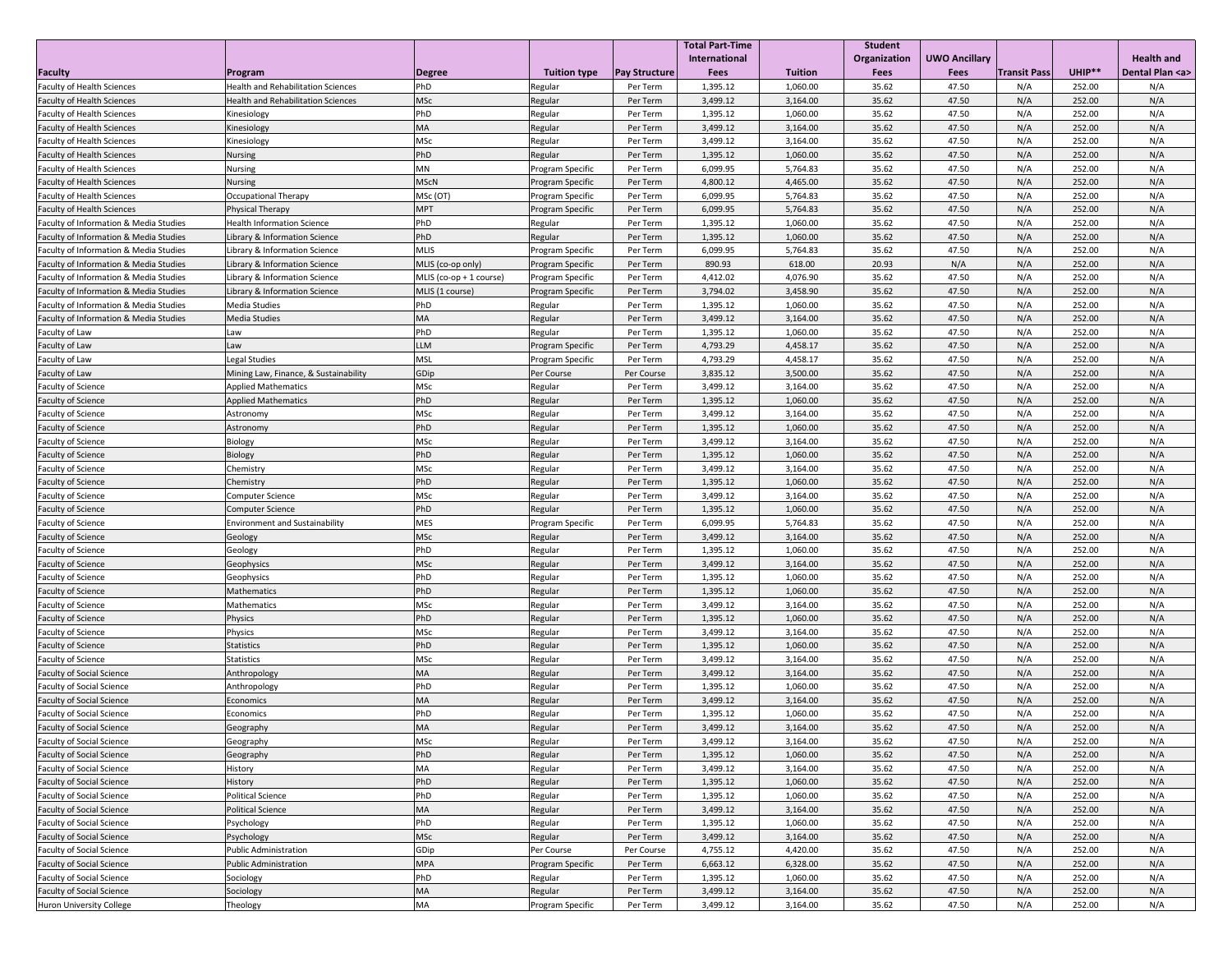|                                                   |                                           |                           |                         |                      | <b>Total Part-Time</b> |                | <b>Student</b> |                      |                     |        |                     |
|---------------------------------------------------|-------------------------------------------|---------------------------|-------------------------|----------------------|------------------------|----------------|----------------|----------------------|---------------------|--------|---------------------|
|                                                   |                                           |                           |                         |                      | International          |                | Organization   | <b>UWO Ancillary</b> |                     |        | <b>Health and</b>   |
| Faculty                                           | Program                                   | Degree                    | <b>Tuition type</b>     | <b>Pay Structure</b> | <b>Fees</b>            | <b>Tuition</b> | <b>Fees</b>    | <b>Fees</b>          | <b>Transit Pass</b> | UHIP** | Dental Plan <a></a> |
| <b>Faculty of Health Sciences</b>                 | <b>Health and Rehabilitation Sciences</b> | PhD                       | Regular                 | Per Term             | 1,395.12               | 1,060.00       | 35.62          | 47.50                | N/A                 | 252.00 | N/A                 |
| <b>Faculty of Health Sciences</b>                 | <b>Health and Rehabilitation Sciences</b> | MSc                       | Regular                 | Per Term             | 3,499.12               | 3,164.00       | 35.62          | 47.50                | N/A                 | 252.00 | N/A                 |
| <b>Faculty of Health Sciences</b>                 | Kinesiology                               | PhD                       | Regular                 | Per Term             | 1,395.12               | 1,060.00       | 35.62          | 47.50                | N/A                 | 252.00 | N/A                 |
| <b>Faculty of Health Sciences</b>                 | Kinesiology                               | <b>MA</b>                 | Regular                 | Per Term             | 3,499.12               | 3,164.00       | 35.62          | 47.50                | N/A                 | 252.00 | N/A                 |
| <b>Faculty of Health Sciences</b>                 | Kinesiology                               | <b>MSc</b>                | Regular                 | Per Term             | 3,499.12               | 3,164.00       | 35.62          | 47.50                | N/A                 | 252.00 | N/A                 |
| <b>Faculty of Health Sciences</b>                 | <b>Nursing</b>                            | PhD                       | Regular                 | Per Term             | 1,395.12               | 1,060.00       | 35.62          | 47.50                | N/A                 | 252.00 | N/A                 |
| <b>Faculty of Health Sciences</b>                 | <b>Nursing</b>                            | ΜN                        | Program Specific        | Per Term             | 6,099.95               | 5,764.83       | 35.62          | 47.50                | N/A                 | 252.00 | N/A                 |
| <b>Faculty of Health Sciences</b>                 | <b>Nursing</b>                            | MScN                      | Program Specific        | Per Term             | 4,800.12               | 4,465.00       | 35.62          | 47.50                | N/A                 | 252.00 | N/A                 |
| <b>Faculty of Health Sciences</b>                 | <b>Occupational Therapy</b>               | MSc (OT)                  | Program Specific        | Per Term             | 6,099.95               | 5,764.83       | 35.62          | 47.50                | N/A                 | 252.00 | N/A                 |
| <b>Faculty of Health Sciences</b>                 | <b>Physical Therapy</b>                   | <b>MPT</b>                | Program Specific        | Per Term             | 6,099.95               | 5,764.83       | 35.62          | 47.50                | N/A                 | 252.00 | N/A                 |
| <b>Faculty of Information &amp; Media Studies</b> | <b>Health Information Science</b>         | PhD                       | Regular                 | Per Term             | 1,395.12               | 1,060.00       | 35.62          | 47.50                | N/A                 | 252.00 | N/A                 |
| <b>Faculty of Information &amp; Media Studies</b> | Library & Information Science             | PhD                       | Regular                 | Per Term             | 1,395.12               | 1,060.00       | 35.62          | 47.50                | N/A                 | 252.00 | N/A                 |
| <b>Faculty of Information &amp; Media Studies</b> | Library & Information Science             | <b>MLIS</b>               | Program Specific        | Per Term             | 6,099.95               | 5,764.83       | 35.62          | 47.50                | N/A                 | 252.00 | N/A                 |
| <b>Faculty of Information &amp; Media Studies</b> | Library & Information Science             | MLIS (co-op only)         | Program Specific        | Per Term             | 890.93                 | 618.00         | 20.93          | N/A                  | N/A                 | 252.00 | N/A                 |
| <b>Faculty of Information &amp; Media Studies</b> | Library & Information Science             | MLIS $(co-op + 1 course)$ | Program Specific        | Per Term             | 4,412.02               | 4,076.90       | 35.62          | 47.50                | N/A                 | 252.00 | N/A                 |
| <b>Faculty of Information &amp; Media Studies</b> | Library & Information Science             | MLIS (1 course)           | Program Specific        | Per Term             | 3,794.02               | 3,458.90       | 35.62          | 47.50                | N/A                 | 252.00 | N/A                 |
| <b>Faculty of Information &amp; Media Studies</b> | <b>Media Studies</b>                      | PhD                       | Regular                 | Per Term             | 1,395.12               | 1,060.00       | 35.62          | 47.50                | N/A                 | 252.00 | N/A                 |
| <b>Faculty of Information &amp; Media Studies</b> | Media Studies                             | MA                        | Regular                 | Per Term             | 3,499.12               | 3,164.00       | 35.62          | 47.50                | N/A                 | 252.00 | N/A                 |
| <b>Faculty of Law</b>                             | Law                                       | <b>PhD</b>                | Regular                 | Per Term             | 1,395.12               | 1,060.00       | 35.62          | 47.50                | N/A                 | 252.00 | N/A                 |
| <b>Faculty of Law</b>                             | Law                                       | <b>LLM</b>                | Program Specific        | Per Term             | 4,793.29               | 4,458.17       | 35.62          | 47.50                | N/A                 | 252.00 | N/A                 |
| <b>Faculty of Law</b>                             | Legal Studies                             | <b>MSL</b>                | Program Specific        | Per Term             | 4,793.29               | 4,458.17       | 35.62          | 47.50                | N/A                 | 252.00 | N/A                 |
| Faculty of Law                                    | Mining Law, Finance, & Sustainability     | GDip                      | Per Course              | Per Course           | 3,835.12               | 3,500.00       | 35.62          | 47.50                | N/A                 | 252.00 | N/A                 |
| <b>Faculty of Science</b>                         | <b>Applied Mathematics</b>                | MSc                       | Regular                 | Per Term             | 3,499.12               | 3,164.00       | 35.62          | 47.50                | N/A                 | 252.00 | N/A                 |
| <b>Faculty of Science</b>                         | <b>Applied Mathematics</b>                | PhD                       | Regular                 | Per Term             | 1,395.12               | 1,060.00       | 35.62          | 47.50                | N/A                 | 252.00 | N/A                 |
| <b>Faculty of Science</b>                         | Astronomy                                 | <b>MSc</b>                | Regular                 | Per Term             | 3,499.12               | 3,164.00       | 35.62          | 47.50                | N/A                 | 252.00 | N/A                 |
| <b>Faculty of Science</b>                         | Astronomy                                 | PhD                       | Regular                 | Per Term             | 1,395.12               | 1,060.00       | 35.62          | 47.50                | N/A                 | 252.00 | N/A                 |
| <b>Faculty of Science</b>                         | Biology                                   | <b>MSc</b>                | Regular                 | Per Term             | 3,499.12               | 3,164.00       | 35.62          | 47.50                | N/A                 | 252.00 | N/A                 |
| <b>Faculty of Science</b>                         | Biology                                   | PhD                       | Regular                 | Per Term             | 1,395.12               | 1,060.00       | 35.62          | 47.50                | N/A                 | 252.00 | N/A                 |
| Faculty of Science                                | Chemistry                                 | <b>MSc</b>                | Regular                 | Per Term             | 3,499.12               | 3,164.00       | 35.62          | 47.50                | N/A                 | 252.00 | N/A                 |
| <b>Faculty of Science</b>                         | Chemistry                                 | PhD                       | Regular                 | Per Term             | 1,395.12               | 1,060.00       | 35.62          | 47.50                | N/A                 | 252.00 | N/A                 |
| <b>Faculty of Science</b>                         | Computer Science                          | <b>MSc</b>                | Regular                 | Per Term             | 3,499.12               | 3,164.00       | 35.62          | 47.50                | N/A                 | 252.00 | N/A                 |
| <b>Faculty of Science</b>                         | Computer Science                          | PhD                       | Regular                 | Per Term             | 1,395.12               | 1,060.00       | 35.62          | 47.50                | N/A                 | 252.00 | N/A                 |
| <b>Faculty of Science</b>                         | <b>Environment and Sustainability</b>     | <b>MES</b>                | Program Specific        | Per Term             | 6,099.95               | 5,764.83       | 35.62          | 47.50                | N/A                 | 252.00 | N/A                 |
| <b>Faculty of Science</b>                         | Geology                                   | MSc                       | Regular                 | Per Term             | 3,499.12               | 3,164.00       | 35.62          | 47.50                | N/A                 | 252.00 | N/A                 |
| <b>Faculty of Science</b>                         | Geology                                   | PhD                       | Regular                 | Per Term             | 1,395.12               | 1,060.00       | 35.62          | 47.50                | N/A                 | 252.00 | N/A                 |
| <b>Faculty of Science</b>                         | Geophysics                                | MSc                       | Regular                 | Per Term             | 3,499.12               | 3,164.00       | 35.62          | 47.50                | N/A                 | 252.00 | N/A                 |
| <b>Faculty of Science</b>                         | Geophysics                                | PhD                       | Regular                 | Per Term             | 1,395.12               | 1,060.00       | 35.62          | 47.50                | N/A                 | 252.00 | N/A                 |
| <b>Faculty of Science</b>                         | Mathematics                               | PhD                       | Regular                 | Per Term             | 1,395.12               | 1,060.00       | 35.62          | 47.50                | N/A                 | 252.00 | N/A                 |
| <b>Faculty of Science</b>                         | Mathematics                               | <b>MSc</b>                | Regular                 | Per Term             | 3,499.12               | 3,164.00       | 35.62          | 47.50                | N/A                 | 252.00 | N/A                 |
| <b>Faculty of Science</b>                         | Physics                                   | PhD                       | Regular                 | Per Term             | 1,395.12               | 1,060.00       | 35.62          | 47.50                | N/A                 | 252.00 | N/A                 |
| <b>Faculty of Science</b>                         | Physics                                   | <b>MSc</b>                | Regular                 | Per Term             | 3,499.12               | 3,164.00       | 35.62          | 47.50                | N/A                 | 252.00 | N/A                 |
| <b>Faculty of Science</b>                         | Statistics                                | PhD                       | Regular                 | Per Term             | 1,395.12               | 1,060.00       | 35.62          | 47.50                | N/A                 | 252.00 | N/A                 |
| <b>Faculty of Science</b>                         | Statistics                                | <b>MSc</b>                | Regular                 | Per Term             | 3,499.12               | 3,164.00       | 35.62          | 47.50                | N/A                 | 252.00 | N/A                 |
| <b>Faculty of Social Science</b>                  | Anthropology                              | <b>MA</b>                 | Regular                 | Per Term             | 3,499.12               | 3,164.00       | 35.62          | 47.50                | N/A                 | 252.00 | N/A                 |
| <b>Faculty of Social Science</b>                  | Anthropology                              | PhD                       | Regular                 | Per Term             | 1,395.12               | 1,060.00       | 35.62          | 47.50                | N/A                 | 252.00 | N/A                 |
| <b>Faculty of Social Science</b>                  | Economics                                 | <b>MA</b>                 | Regular                 | Per Term             | 3,499.12               | 3,164.00       | 35.62          | 47.50                | N/A                 | 252.00 | N/A                 |
| <b>Faculty of Social Science</b>                  | Economics                                 | PhD                       | Regular                 | Per Term             | 1,395.12               | 1,060.00       | 35.62          | 47.50                | N/A                 | 252.00 | N/A                 |
| <b>Faculty of Social Science</b>                  | Geography                                 | <b>MA</b>                 | Regular                 | Per Term             | 3,499.12               | 3,164.00       | 35.62          | 47.50                | N/A                 | 252.00 | N/A                 |
| <b>Faculty of Social Science</b>                  | Geography                                 | <b>MSc</b>                | Regular                 | Per Term             | 3,499.12               | 3,164.00       | 35.62          | 47.50                | N/A                 | 252.00 | N/A                 |
| <b>Faculty of Social Science</b>                  | Geography                                 | PhD                       | Regular                 | Per Term             | 1,395.12               | 1,060.00       | 35.62          | 47.50                | N/A                 | 252.00 | N/A                 |
| <b>Faculty of Social Science</b>                  | History                                   | МA                        | Regular                 | Per Term             | 3,499.12               | 3,164.00       | 35.62          | 47.50                | N/A                 | 252.00 | N/A                 |
| <b>Faculty of Social Science</b>                  | History                                   | PhD                       | Regular                 | Per Term             | 1,395.12               | 1,060.00       | 35.62          | 47.50                | N/A                 | 252.00 | N/A                 |
| <b>Faculty of Social Science</b>                  | <b>Political Science</b>                  | PhD                       | Regular                 | Per Term             | 1,395.12               | 1,060.00       | 35.62          | 47.50                | N/A                 | 252.00 | N/A                 |
| <b>Faculty of Social Science</b>                  | <b>Political Science</b>                  | MA                        | Regular                 | Per Term             | 3,499.12               | 3,164.00       | 35.62          | 47.50                | N/A                 | 252.00 | N/A                 |
| <b>Faculty of Social Science</b>                  | Psychology                                | PhD                       | Regular                 | Per Term             | 1,395.12               | 1,060.00       | 35.62          | 47.50                | N/A                 | 252.00 | N/A                 |
| <b>Faculty of Social Science</b>                  | Psychology                                | <b>MSc</b>                | Regular                 | Per Term             | 3,499.12               | 3,164.00       | 35.62          | 47.50                | N/A                 | 252.00 | N/A                 |
| <b>Faculty of Social Science</b>                  | <b>Public Administration</b>              | GDip                      | Per Course              | Per Course           | 4,755.12               | 4,420.00       | 35.62          | 47.50                | N/A                 | 252.00 | N/A                 |
| <b>Faculty of Social Science</b>                  | <b>Public Administration</b>              | <b>MPA</b>                | <b>Program Specific</b> | Per Term             | 6,663.12               | 6,328.00       | 35.62          | 47.50                | N/A                 | 252.00 | N/A                 |
| <b>Faculty of Social Science</b>                  | Sociology                                 | PhD                       | Regular                 | Per Term             | 1,395.12               | 1,060.00       | 35.62          | 47.50                | N/A                 | 252.00 | N/A                 |
| <b>Faculty of Social Science</b>                  | Sociology                                 | <b>MA</b>                 | Regular                 | Per Term             | 3,499.12               | 3,164.00       | 35.62          | 47.50                | N/A                 | 252.00 | N/A                 |
| Huron University College                          | <b>Theology</b>                           | МA                        | <b>Program Specific</b> | Per Term             | 3,499.12               | 3,164.00       | 35.62          | 47.50                | N/A                 | 252.00 | N/A                 |